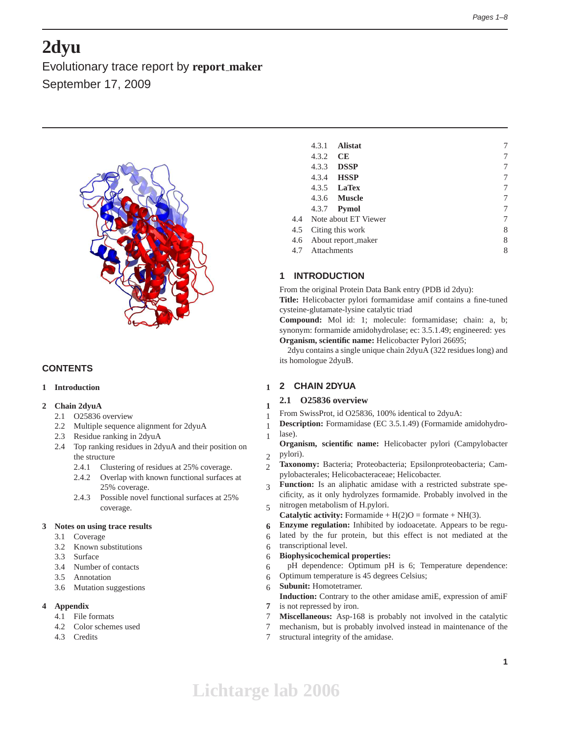# **2dyu**

Evolutionary trace report by **report maker** September 17, 2009



# **CONTENTS**

## **1 Introduction 1**

## **2 Chain 2dyuA 1**

- 2.1 O25836 overview 1
- 2.2 Multiple sequence alignment for 2dyuA 1
- 2.3 Residue ranking in 2dyuA 1
- 2.4 Top ranking residues in 2dyuA and their position on the structure 2
	- 2.4.1 Clustering of residues at 25% coverage. 2
	- 2.4.2 Overlap with known functional surfaces at 25% coverage. 3
	- 2.4.3 Possible novel functional surfaces at 25% coverage. 5

## **3 Notes on using trace results 6**

- 3.1 Coverage 6
- 3.2 Known substitutions 6
- 3.3 Surface 6
- 3.4 Number of contacts 6
- 3.5 Annotation 6
- 3.6 Mutation suggestions 6

# **4 Appendix 7**

- 4.1 File formats 7
- 4.2 Color schemes used 7
- 4.3 Credits 7

|     | 4.3.1           | <b>Alistat</b>           | 7 |
|-----|-----------------|--------------------------|---|
|     | 4.3.2           | CE                       | 7 |
|     | 4.3.3           | <b>DSSP</b>              | 7 |
|     |                 | 4.3.4 <b>HSSP</b>        | 7 |
|     |                 | $4.3.5$ LaTex            | 7 |
|     |                 | 4.3.6 <b>Muscle</b>      | 7 |
|     |                 | 4.3.7 <b>Pymol</b>       | 7 |
|     |                 | 4.4 Note about ET Viewer | 7 |
| 4.5 |                 | Citing this work         | 8 |
| 4.6 |                 | About report_maker       | 8 |
|     | 4.7 Attachments |                          | 8 |
|     |                 |                          |   |

# **1 INTRODUCTION**

From the original Protein Data Bank entry (PDB id 2dyu): **Title:** Helicobacter pylori formamidase amif contains a fine-tuned cysteine-glutamate-lysine catalytic triad

**Compound:** Mol id: 1; molecule: formamidase; chain: a, b; synonym: formamide amidohydrolase; ec: 3.5.1.49; engineered: yes **Organism, scientific name:** Helicobacter Pylori 26695;

2dyu contains a single unique chain 2dyuA (322 residues long) and its homologue 2dyuB.

# **2 CHAIN 2DYUA**

# **2.1 O25836 overview**

- From SwissProt, id O25836, 100% identical to 2dyuA:
- **Description:** Formamidase (EC 3.5.1.49) (Formamide amidohydrolase).
- **Organism, scientific name:** Helicobacter pylori (Campylobacter pylori).
- **Taxonomy:** Bacteria; Proteobacteria; Epsilonproteobacteria; Campylobacterales; Helicobacteraceae; Helicobacter.
- **Function:** Is an aliphatic amidase with a restricted substrate specificity, as it only hydrolyzes formamide. Probably involved in the nitrogen metabolism of H.pylori.
- **Catalytic activity:** Formamide +  $H(2)O$  = formate +  $NH(3)$ .
- **Enzyme regulation:** Inhibited by iodoacetate. Appears to be regu-
- lated by the fur protein, but this effect is not mediated at the transcriptional level.
- **Biophysicochemical properties:**
- pH dependence: Optimum pH is 6; Temperature dependence: Optimum temperature is 45 degrees Celsius;
- **Subunit:** Homotetramer.
- **Induction:** Contrary to the other amidase amiE, expression of amiF is not repressed by iron.
- **Miscellaneous:** Asp-168 is probably not involved in the catalytic
- mechanism, but is probably involved instead in maintenance of the
- structural integrity of the amidase.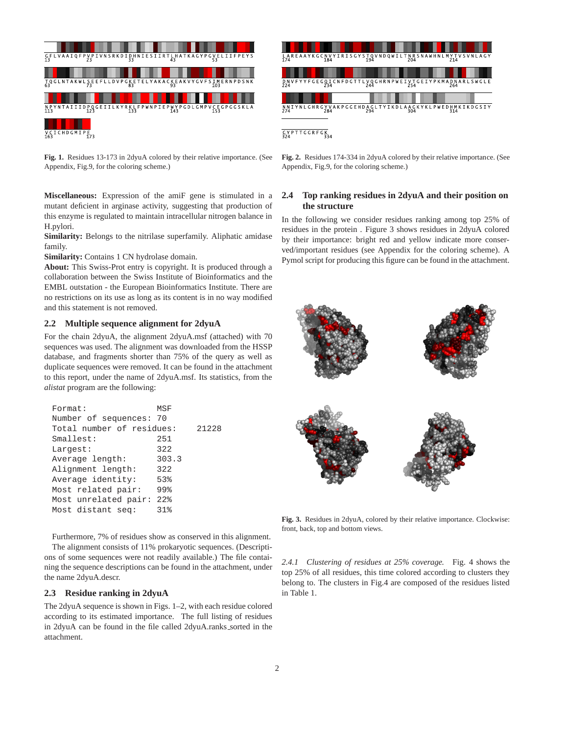

**Fig. 1.** Residues 13-173 in 2dyuA colored by their relative importance. (See Appendix, Fig.9, for the coloring scheme.)

**Miscellaneous:** Expression of the amiF gene is stimulated in a mutant deficient in arginase activity, suggesting that production of this enzyme is regulated to maintain intracellular nitrogen balance in H.pylori.

**Similarity:** Belongs to the nitrilase superfamily. Aliphatic amidase family.

**Similarity:** Contains 1 CN hydrolase domain.

**About:** This Swiss-Prot entry is copyright. It is produced through a collaboration between the Swiss Institute of Bioinformatics and the EMBL outstation - the European Bioinformatics Institute. There are no restrictions on its use as long as its content is in no way modified and this statement is not removed.

# **2.2 Multiple sequence alignment for 2dyuA**

For the chain 2dyuA, the alignment 2dyuA.msf (attached) with 70 sequences was used. The alignment was downloaded from the HSSP database, and fragments shorter than 75% of the query as well as duplicate sequences were removed. It can be found in the attachment to this report, under the name of 2dyuA.msf. Its statistics, from the *alistat* program are the following:

| MSF                       |       |
|---------------------------|-------|
| Number of sequences: 70   |       |
| Total number of residues: | 21228 |
| 251                       |       |
| 322                       |       |
| 303.3                     |       |
| 322                       |       |
| 53%                       |       |
| 99%                       |       |
| $22$ <sup>2</sup>         |       |
| 31%                       |       |
|                           |       |

Furthermore, 7% of residues show as conserved in this alignment. The alignment consists of 11% prokaryotic sequences. (Descriptions of some sequences were not readily available.) The file containing the sequence descriptions can be found in the attachment, under the name 2dyuA.descr.

#### **2.3 Residue ranking in 2dyuA**

The 2dyuA sequence is shown in Figs. 1–2, with each residue colored according to its estimated importance. The full listing of residues in 2dyuA can be found in the file called 2dyuA.ranks\_sorted in the attachment.





#### **2.4 Top ranking residues in 2dyuA and their position on the structure**

In the following we consider residues ranking among top 25% of residues in the protein . Figure 3 shows residues in 2dyuA colored by their importance: bright red and yellow indicate more conserved/important residues (see Appendix for the coloring scheme). A Pymol script for producing this figure can be found in the attachment.



**Fig. 3.** Residues in 2dyuA, colored by their relative importance. Clockwise: front, back, top and bottom views.

*2.4.1 Clustering of residues at 25% coverage.* Fig. 4 shows the top 25% of all residues, this time colored according to clusters they belong to. The clusters in Fig.4 are composed of the residues listed in Table 1.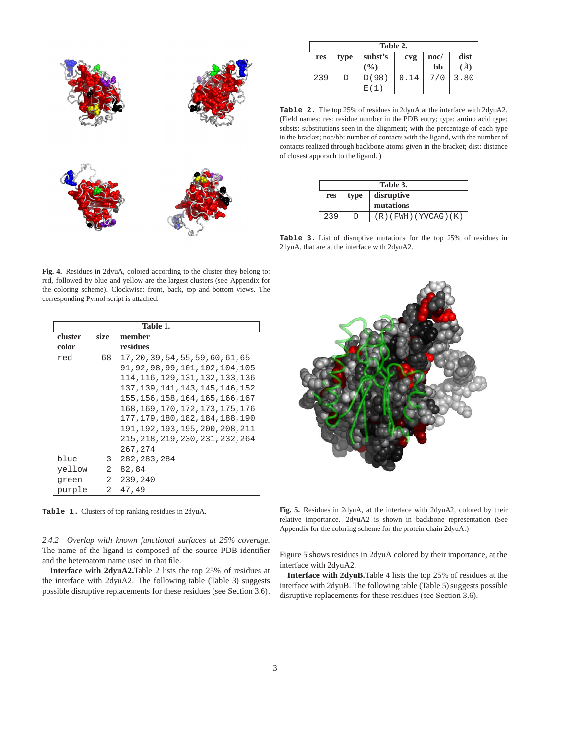

| Table 2. |      |                   |      |                   |                            |  |
|----------|------|-------------------|------|-------------------|----------------------------|--|
| res      | type | subst's<br>$($ %) | cvg  | $\bf{noc}/$<br>bb | dist<br>$\mathbf{\hat{A}}$ |  |
| 239      | D    | D(98)<br>E(1)     | 0.14 | 7/0               | 3.80                       |  |

**Table 2.** The top 25% of residues in 2dyuA at the interface with 2dyuA2. (Field names: res: residue number in the PDB entry; type: amino acid type; substs: substitutions seen in the alignment; with the percentage of each type in the bracket; noc/bb: number of contacts with the ligand, with the number of contacts realized through backbone atoms given in the bracket; dist: distance of closest apporach to the ligand. )

|     | Table 3.           |                           |  |  |  |
|-----|--------------------|---------------------------|--|--|--|
| res | disruptive<br>type |                           |  |  |  |
|     |                    | mutations                 |  |  |  |
| 239 |                    | $(R)$ (FWH) (YVCAG) $(K)$ |  |  |  |

**Table 3.** List of disruptive mutations for the top 25% of residues in 2dyuA, that are at the interface with 2dyuA2.

**Fig. 4.** Residues in 2dyuA, colored according to the cluster they belong to: red, followed by blue and yellow are the largest clusters (see Appendix for the coloring scheme). Clockwise: front, back, top and bottom views. The corresponding Pymol script is attached.

|         |      | Table 1.                           |
|---------|------|------------------------------------|
| cluster | size | member                             |
| color   |      | residues                           |
| red     | 68   | 17, 20, 39, 54, 55, 59, 60, 61, 65 |
|         |      | 91,92,98,99,101,102,104,105        |
|         |      | 114, 116, 129, 131, 132, 133, 136  |
|         |      | 137,139,141,143,145,146,152        |
|         |      | 155,156,158,164,165,166,167        |
|         |      | 168,169,170,172,173,175,176        |
|         |      | 177,179,180,182,184,188,190        |
|         |      | 191,192,193,195,200,208,211        |
|         |      | 215, 218, 219, 230, 231, 232, 264  |
|         |      | 267,274                            |
| blue    | 3    | 282, 283, 284                      |
| yellow  | 2    | 82,84                              |
| green   | 2    | 239,240                            |
| purple  | 2    | 47,49                              |

**Table 1.** Clusters of top ranking residues in 2dyuA.

*2.4.2 Overlap with known functional surfaces at 25% coverage.* The name of the ligand is composed of the source PDB identifier and the heteroatom name used in that file.

**Interface with 2dyuA2.**Table 2 lists the top 25% of residues at the interface with 2dyuA2. The following table (Table 3) suggests possible disruptive replacements for these residues (see Section 3.6).



**Fig. 5.** Residues in 2dyuA, at the interface with 2dyuA2, colored by their relative importance. 2dyuA2 is shown in backbone representation (See Appendix for the coloring scheme for the protein chain 2dyuA.)

Figure 5 shows residues in 2dyuA colored by their importance, at the interface with 2dyuA2.

**Interface with 2dyuB.**Table 4 lists the top 25% of residues at the interface with 2dyuB. The following table (Table 5) suggests possible disruptive replacements for these residues (see Section 3.6).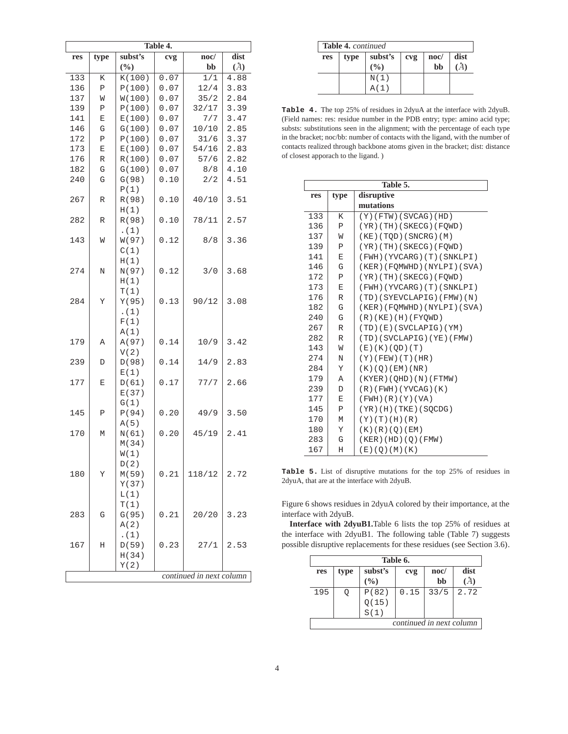|     | Table 4.    |               |      |                          |      |  |
|-----|-------------|---------------|------|--------------------------|------|--|
| res | type        | subst's       | cvg  | $\mathbf{noc}/$          | dist |  |
|     |             | $(\%)$        |      | bb                       | (A)  |  |
| 133 | K           | K(100)        | 0.07 | 1/1                      | 4.88 |  |
| 136 | Ρ           | P(100)        | 0.07 | 12/4                     | 3.83 |  |
| 137 | M           | W(100)        | 0.07 | 35/2                     | 2.84 |  |
| 139 | Ρ           | P(100)        | 0.07 | 32/17                    | 3.39 |  |
| 141 | E           | E(100)        | 0.07 | 7/7                      | 3.47 |  |
| 146 | G           | G(100)        | 0.07 | 10/10                    | 2.85 |  |
| 172 | Ρ           | P(100)        | 0.07 | 31/6                     | 3.37 |  |
| 173 | Ε           | E(100)        | 0.07 | 54/16                    | 2.83 |  |
| 176 | R           | R(100)        | 0.07 | 57/6                     | 2.82 |  |
| 182 | G           | G(100)        | 0.07 | 8/8                      | 4.10 |  |
| 240 | G           | G(98)         | 0.10 | 2/2                      | 4.51 |  |
|     |             | P(1)          |      |                          |      |  |
| 267 | $\mathbb R$ | R(98)         | 0.10 | 40/10                    | 3.51 |  |
|     |             | H(1)          |      |                          |      |  |
| 282 | R           | R(98)         | 0.10 | 78/11                    | 2.57 |  |
|     |             | . (1)         |      |                          |      |  |
| 143 | M           | W(97)         | 0.12 | 8/8                      | 3.36 |  |
|     |             | C(1)          |      |                          |      |  |
|     |             | H(1)          |      |                          |      |  |
| 274 | N           | N(97)         | 0.12 | 3/0                      | 3.68 |  |
|     |             | H(1)          |      |                          |      |  |
|     |             | T(1)          |      |                          |      |  |
| 284 | Υ           | Y(95)         | 0.13 | 90/12                    | 3.08 |  |
|     |             | . $(1)$       |      |                          |      |  |
|     |             | F(1)          |      |                          |      |  |
| 179 |             | A(1)          | 0.14 | 10/9                     | 3.42 |  |
|     | Α           | A(97)<br>V(2) |      |                          |      |  |
| 239 | D           | D(98)         | 0.14 | 14/9                     | 2.83 |  |
|     |             | E(1)          |      |                          |      |  |
| 177 | E           | D(61)         | 0.17 | 77/7                     | 2.66 |  |
|     |             | E(37)         |      |                          |      |  |
|     |             | G(1)          |      |                          |      |  |
| 145 | Ρ           | P(94)         | 0.20 | 49/9                     | 3.50 |  |
|     |             | A(5)          |      |                          |      |  |
| 170 | М           | N(61)         | 0.20 | 45/19                    | 2.41 |  |
|     |             | M(34)         |      |                          |      |  |
|     |             | W(1)          |      |                          |      |  |
|     |             | D(2)          |      |                          |      |  |
| 180 | Υ           | M(59)         | 0.21 | 118/12                   | 2.72 |  |
|     |             | Y(37)         |      |                          |      |  |
|     |             | L(1)          |      |                          |      |  |
|     |             | T(1)          |      |                          |      |  |
| 283 | G           | G(95)         | 0.21 | 20/20                    | 3.23 |  |
|     |             | A(2)          |      |                          |      |  |
|     |             | (1)           |      |                          |      |  |
| 167 | Η           | D(59)         | 0.23 | 27/1                     | 2.53 |  |
|     |             | H(34)         |      |                          |      |  |
|     |             | Y(2)          |      |                          |      |  |
|     |             |               |      | continued in next column |      |  |

| Table 4. continued |      |                  |                  |                       |      |
|--------------------|------|------------------|------------------|-----------------------|------|
| res                | type | subst's<br>(9/6) | c <sub>v</sub> g | $\mathbf{noc}/$<br>bb | dist |
|                    |      | N(1)             |                  |                       |      |

**Table 4.** The top 25% of residues in 2dyuA at the interface with 2dyuB. (Field names: res: residue number in the PDB entry; type: amino acid type; substs: substitutions seen in the alignment; with the percentage of each type in the bracket; noc/bb: number of contacts with the ligand, with the number of contacts realized through backbone atoms given in the bracket; dist: distance of closest apporach to the ligand. )

|     | Table 5. |                              |  |  |  |
|-----|----------|------------------------------|--|--|--|
| res | type     | disruptive                   |  |  |  |
|     |          | mutations                    |  |  |  |
| 133 | Κ        | $(Y)$ (FTW) (SVCAG) (HD)     |  |  |  |
| 136 | Ρ        | $(YR)$ (TH) (SKECG) (FOWD)   |  |  |  |
| 137 | W        | (KE) (TQD) (SNCRG) (M)       |  |  |  |
| 139 | Ρ        | $(YR)$ (TH) (SKECG) (FOWD)   |  |  |  |
| 141 | E        | (FWH) (YVCARG) (T) (SNKLPI)  |  |  |  |
| 146 | G        | (KER) (FOMWHD) (NYLPI) (SVA) |  |  |  |
| 172 | P        | $(YR)$ (TH) (SKECG) (FOWD)   |  |  |  |
| 173 | E        | (FWH) (YVCARG) (T) (SNKLPI)  |  |  |  |
| 176 | R        | (TD)(SYEVCLAPIG)(FMW)(N)     |  |  |  |
| 182 | G        | (KER) (FOMWHD) (NYLPI) (SVA) |  |  |  |
| 240 | G        | $(R)$ (KE) $(H)$ (FYOWD)     |  |  |  |
| 267 | R        | (TD)(E)(SVCLAPIG)(YM)        |  |  |  |
| 282 | R        | (TD)(SVCLAPIG)(YE)(FMW)      |  |  |  |
| 143 | W        | (E)(K)(OD)(T)                |  |  |  |
| 274 | N        | $(Y)$ (FEW) $(T)$ (HR)       |  |  |  |
| 284 | Υ        | (K) (Q) (EM) (NR)            |  |  |  |
| 179 | Α        | (KYER) (QHD) (N) (FTMW)      |  |  |  |
| 239 | D        | $(R)$ (FWH) (YVCAG) $(K)$    |  |  |  |
| 177 | E        | (FWH)(R)(Y)(VA)              |  |  |  |
| 145 | Ρ        | $(YR)$ (H) $(TKE)$ (SQCDG)   |  |  |  |
| 170 | М        | (Y)(T)(H)(R)                 |  |  |  |
| 180 | Υ        | $(K)$ $(R)$ $(Q)$ $(EM)$     |  |  |  |
| 283 | G        | (KER) (HD) (O) (FMW)         |  |  |  |
| 167 | Η        | (E)(O)(M)(K)                 |  |  |  |

**Table 5.** List of disruptive mutations for the top 25% of residues in 2dyuA, that are at the interface with 2dyuB.

Figure 6 shows residues in 2dyuA colored by their importance, at the interface with 2dyuB.

**Interface with 2dyuB1.**Table 6 lists the top 25% of residues at the interface with 2dyuB1. The following table (Table 7) suggests possible disruptive replacements for these residues (see Section 3.6).

|     | Table 6.                 |                        |      |            |      |  |  |  |
|-----|--------------------------|------------------------|------|------------|------|--|--|--|
| res | type                     | subst's<br>(%)         | cvg  | noc/<br>bb | dist |  |  |  |
| 195 |                          | P(82)<br>Q(15)<br>S(1) | 0.15 | 33/5       | 2.72 |  |  |  |
|     | continued in next column |                        |      |            |      |  |  |  |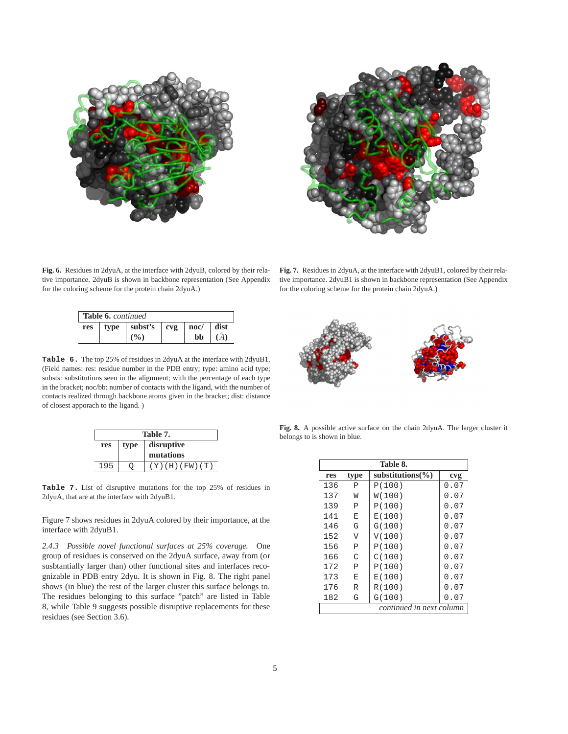

**Fig. 6.** Residues in 2dyuA, at the interface with 2dyuB, colored by their relative importance. 2dyuB is shown in backbone representation (See Appendix for the coloring scheme for the protein chain 2dyuA.)

|     | <b>Table 6.</b> continued |                                    |  |    |  |  |
|-----|---------------------------|------------------------------------|--|----|--|--|
| res |                           | type   subst's   cvg   noc/   dist |  |    |  |  |
|     |                           | $($ %)                             |  | bb |  |  |

**Table 6.** The top 25% of residues in 2dyuA at the interface with 2dyuB1. (Field names: res: residue number in the PDB entry; type: amino acid type; substs: substitutions seen in the alignment; with the percentage of each type in the bracket; noc/bb: number of contacts with the ligand, with the number of contacts realized through backbone atoms given in the bracket; dist: distance of closest apporach to the ligand. )

| Table 7. |                    |                  |  |  |
|----------|--------------------|------------------|--|--|
| res      | disruptive<br>type |                  |  |  |
|          |                    | mutations        |  |  |
| 195      |                    | (Y) (H) (FW) (T) |  |  |

**Table 7.** List of disruptive mutations for the top 25% of residues in 2dyuA, that are at the interface with 2dyuB1.

Figure 7 shows residues in 2dyuA colored by their importance, at the interface with 2dyuB1.

*2.4.3 Possible novel functional surfaces at 25% coverage.* One group of residues is conserved on the 2dyuA surface, away from (or susbtantially larger than) other functional sites and interfaces recognizable in PDB entry 2dyu. It is shown in Fig. 8. The right panel shows (in blue) the rest of the larger cluster this surface belongs to. The residues belonging to this surface "patch" are listed in Table 8, while Table 9 suggests possible disruptive replacements for these residues (see Section 3.6).



**Fig. 7.** Residues in 2dyuA, at the interface with 2dyuB1, colored by their relative importance. 2dyuB1 is shown in backbone representation (See Appendix for the coloring scheme for the protein chain 2dyuA.)



**Fig. 8.** A possible active surface on the chain 2dyuA. The larger cluster it belongs to is shown in blue.

|     | Table 8.                 |                       |      |  |  |  |
|-----|--------------------------|-----------------------|------|--|--|--|
| res | type                     | substitutions( $\%$ ) | cvg  |  |  |  |
| 136 | $\mathbb P$              | P(100)                | 0.07 |  |  |  |
| 137 | W                        | W(100)                | 0.07 |  |  |  |
| 139 | Р                        | P(100)                | 0.07 |  |  |  |
| 141 | E                        | E(100)                | 0.07 |  |  |  |
| 146 | G                        | G(100)                | 0.07 |  |  |  |
| 152 | V                        | V(100)                | 0.07 |  |  |  |
| 156 | P                        | P(100)                | 0.07 |  |  |  |
| 166 | C                        | C(100)                | 0.07 |  |  |  |
| 172 | $\mathsf{P}$             | P(100)                | 0.07 |  |  |  |
| 173 | E                        | E(100)                | 0.07 |  |  |  |
| 176 | R                        | R(100)                | 0.07 |  |  |  |
| 182 | G                        | G(100)                | 0.07 |  |  |  |
|     | continued in next column |                       |      |  |  |  |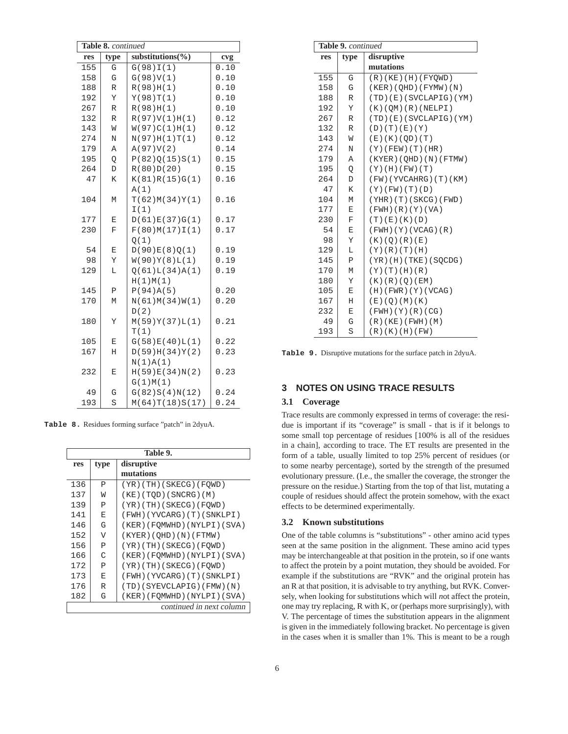| Table 8. continued |             |                                  |      |  |
|--------------------|-------------|----------------------------------|------|--|
| res                | type        | substitutions( $\frac{\%}{\%}$ ) | cvg  |  |
| 155                | G           | G(98)I(1)                        | 0.10 |  |
| 158                | G           | G(98)V(1)                        | 0.10 |  |
| 188                | $\mathbb R$ | R(98)H(1)                        | 0.10 |  |
| 192                | Υ           | Y(98)T(1)                        | 0.10 |  |
| 267                | $\mathbb R$ | R(98)H(1)                        | 0.10 |  |
| 132                | $\mathbb R$ | R(97)V(1)H(1)                    | 0.12 |  |
| 143                | W           | W(97)C(1)H(1)                    | 0.12 |  |
| 274                | $\rm N$     | N(97)H(1)T(1)                    | 0.12 |  |
| 179                | Α           | A(97)V(2)                        | 0.14 |  |
| 195                | Q           | P(82)Q(15)S(1)                   | 0.15 |  |
| 264                | $\mathbb D$ | R(80)D(20)                       | 0.15 |  |
| 47                 | K           | K(81)R(15)G(1)                   | 0.16 |  |
|                    |             | A(1)                             |      |  |
| 104                | М           | T(62)M(34)Y(1)                   | 0.16 |  |
|                    |             | I(1)                             |      |  |
| 177                | Ε           | D(61)E(37)G(1)                   | 0.17 |  |
| 230                | $\mathbf F$ | F(80)M(17)I(1)                   | 0.17 |  |
|                    |             | O(1)                             |      |  |
| 54                 | E           | D(90)E(8)Q(1)                    | 0.19 |  |
| 98                 | Υ           | W(90)Y(8)L(1)                    | 0.19 |  |
| 129                | L           | Q(61)L(34)A(1)                   | 0.19 |  |
|                    |             | H(1)M(1)                         |      |  |
| 145                | Ρ           | P(94)A(5)                        | 0.20 |  |
| 170                | M           | N(61)M(34)W(1)                   | 0.20 |  |
|                    |             | D(2)                             |      |  |
| 180                | Υ           | M(59)Y(37)L(1)                   | 0.21 |  |
|                    |             | T(1)                             |      |  |
| 105                | E           | G(58)E(40)L(1)                   | 0.22 |  |
| 167                | Η           | D(59)H(34)Y(2)                   | 0.23 |  |
|                    |             | N(1)A(1)                         |      |  |
| 232                | E           | H(59)E(34)N(2)                   | 0.23 |  |
|                    |             | G(1)M(1)                         |      |  |
| 49                 | G           | G(82)S(4)N(12)                   | 0.24 |  |
| 193                | S           | M(64)T(18)S(17)                  | 0.24 |  |

**Table 8.** Residues forming surface "patch" in 2dyuA.

| Table 9.                 |                |                              |  |  |  |
|--------------------------|----------------|------------------------------|--|--|--|
| res                      | type           | disruptive                   |  |  |  |
|                          |                | mutations                    |  |  |  |
| 136                      | P              | $(YR)$ (TH) (SKECG) (FOWD)   |  |  |  |
| 137                      | W              | (KE) (TQD) (SNCRG) (M)       |  |  |  |
| 139                      | $\mathsf{P}$   | $(YR)$ (TH) (SKECG) (FOWD)   |  |  |  |
| 141                      | E              | (FWH) (YVCARG) (T) (SNKLPI)  |  |  |  |
| 146                      | G              | (KER) (FOMWHD) (NYLPI) (SVA) |  |  |  |
| 152                      | $\overline{V}$ | (KYER) (OHD) (N) (FTMW)      |  |  |  |
| 156                      | $\mathsf{P}$   | $(YR)$ (TH) (SKECG) (FQWD)   |  |  |  |
| 166                      | C              | (KER) (FOMWHD) (NYLPI) (SVA) |  |  |  |
| 172                      | $\mathsf{P}$   | $(YR)$ (TH) (SKECG) (FOWD)   |  |  |  |
| 173                      | E              | (FWH)(YVCARG)(T)(SNKLPI)     |  |  |  |
| 176                      | R              | (TD)(SYEVCLAPIG)(FMW)(N)     |  |  |  |
| 182                      | G              | (KER) (FOMWHD) (NYLPI) (SVA) |  |  |  |
| continued in next column |                |                              |  |  |  |

| Table 9. continued |             |                            |  |  |
|--------------------|-------------|----------------------------|--|--|
| res                | type        | disruptive                 |  |  |
|                    |             | mutations                  |  |  |
| 155                | G           | $(R)$ (KE) $(H)$ (FYQWD)   |  |  |
| 158                | G           | (KER) (OHD) (FYMW) (N)     |  |  |
| 188                | R           | (TD)(E)(SVCLAPIG)(YM)      |  |  |
| 192                | Υ           | (K)(OM)(R)(NELPI)          |  |  |
| 267                | $\mathbb R$ | (TD)(E)(SVCLAPIG)(YM)      |  |  |
| 132                | R           | (D)(T)(E)(Y)               |  |  |
| 143                | W           | (E)(K)(OD)(T)              |  |  |
| 274                | N           | $(Y)$ (FEW) $(T)$ (HR)     |  |  |
| 179                | Α           | (KYER) (OHD) (N) (FTMW)    |  |  |
| 195                | Q           | (Y) (H) (FW) (T)           |  |  |
| 264                | D           | (FW)(YVCAHRG)(T)(KM)       |  |  |
| 47                 | K           | $(Y)$ (FW) $(T)$ (D)       |  |  |
| 104                | M           | (YHR)(T)(SKCG)(FWD)        |  |  |
| 177                | E           | (FWH)(R)(Y)(VA)            |  |  |
| 230                | F           | (T)(E)(K)(D)               |  |  |
| 54                 | E           | (FWH) (Y) (VCAG) (R)       |  |  |
| 98                 | Υ           | (K) (Q) (R) (E)            |  |  |
| 129                | L           | (Y)(R)(T)(H)               |  |  |
| 145                | Ρ           | $(YR)$ (H) $(TKE)$ (SQCDG) |  |  |
| 170                | M           | $(Y)$ $(T)$ $(H)$ $(R)$    |  |  |
| 180                | Υ           | $(K)$ $(R)$ $(Q)$ $(EM)$   |  |  |
| 105                | E           | $(H)$ (FWR) $(Y)$ (VCAG)   |  |  |
| 167                | Η           | (E)(Q)(M)(K)               |  |  |
| 232                | Ε           | (FWH)(Y)(R)(CG)            |  |  |
| 49                 | G           | $(R)$ (KE) (FWH) (M)       |  |  |
| 193                | S           | (R)(K)(H)(FW)              |  |  |

**Table 9.** Disruptive mutations for the surface patch in 2dyuA.

# **3 NOTES ON USING TRACE RESULTS**

#### **3.1 Coverage**

Trace results are commonly expressed in terms of coverage: the residue is important if its "coverage" is small - that is if it belongs to some small top percentage of residues [100% is all of the residues in a chain], according to trace. The ET results are presented in the form of a table, usually limited to top 25% percent of residues (or to some nearby percentage), sorted by the strength of the presumed evolutionary pressure. (I.e., the smaller the coverage, the stronger the pressure on the residue.) Starting from the top of that list, mutating a couple of residues should affect the protein somehow, with the exact effects to be determined experimentally.

#### **3.2 Known substitutions**

One of the table columns is "substitutions" - other amino acid types seen at the same position in the alignment. These amino acid types may be interchangeable at that position in the protein, so if one wants to affect the protein by a point mutation, they should be avoided. For example if the substitutions are "RVK" and the original protein has an R at that position, it is advisable to try anything, but RVK. Conversely, when looking for substitutions which will *n*ot affect the protein, one may try replacing, R with K, or (perhaps more surprisingly), with V. The percentage of times the substitution appears in the alignment is given in the immediately following bracket. No percentage is given in the cases when it is smaller than 1%. This is meant to be a rough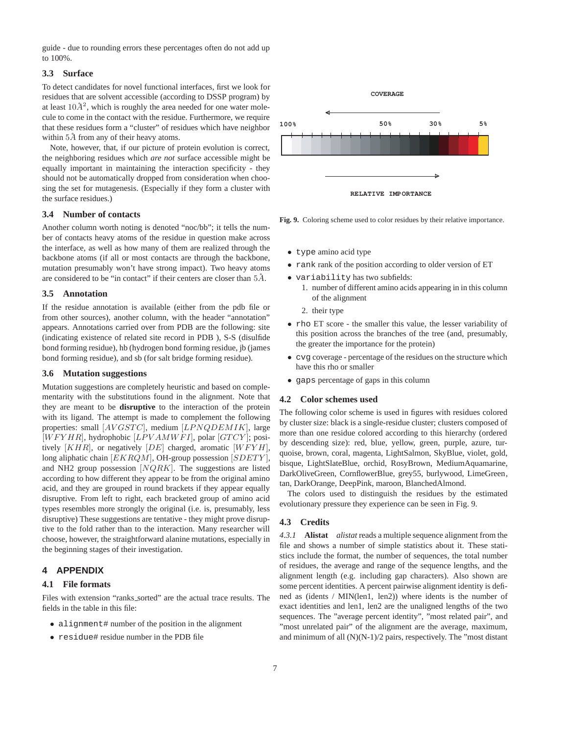guide - due to rounding errors these percentages often do not add up to 100%.

#### **3.3 Surface**

To detect candidates for novel functional interfaces, first we look for residues that are solvent accessible (according to DSSP program) by at least  $10\AA^2$ , which is roughly the area needed for one water molecule to come in the contact with the residue. Furthermore, we require that these residues form a "cluster" of residues which have neighbor within  $5\AA$  from any of their heavy atoms.

Note, however, that, if our picture of protein evolution is correct, the neighboring residues which *are not* surface accessible might be equally important in maintaining the interaction specificity - they should not be automatically dropped from consideration when choosing the set for mutagenesis. (Especially if they form a cluster with the surface residues.)

#### **3.4 Number of contacts**

Another column worth noting is denoted "noc/bb"; it tells the number of contacts heavy atoms of the residue in question make across the interface, as well as how many of them are realized through the backbone atoms (if all or most contacts are through the backbone, mutation presumably won't have strong impact). Two heavy atoms are considered to be "in contact" if their centers are closer than  $5\AA$ .

#### **3.5 Annotation**

If the residue annotation is available (either from the pdb file or from other sources), another column, with the header "annotation" appears. Annotations carried over from PDB are the following: site (indicating existence of related site record in PDB ), S-S (disulfide bond forming residue), hb (hydrogen bond forming residue, jb (james bond forming residue), and sb (for salt bridge forming residue).

#### **3.6 Mutation suggestions**

Mutation suggestions are completely heuristic and based on complementarity with the substitutions found in the alignment. Note that they are meant to be **disruptive** to the interaction of the protein with its ligand. The attempt is made to complement the following properties: small  $[AVGSTC]$ , medium  $[LPNQDEMIK]$ , large  $[WFYHR]$ , hydrophobic  $[LPVAMWFI]$ , polar  $[GTCY]$ ; positively  $[KHR]$ , or negatively  $[DE]$  charged, aromatic  $[WFYH]$ , long aliphatic chain  $[EKRQM]$ , OH-group possession  $[SDETY]$ , and NH2 group possession [NQRK]. The suggestions are listed according to how different they appear to be from the original amino acid, and they are grouped in round brackets if they appear equally disruptive. From left to right, each bracketed group of amino acid types resembles more strongly the original (i.e. is, presumably, less disruptive) These suggestions are tentative - they might prove disruptive to the fold rather than to the interaction. Many researcher will choose, however, the straightforward alanine mutations, especially in the beginning stages of their investigation.

# **4 APPENDIX**

#### **4.1 File formats**

Files with extension "ranks sorted" are the actual trace results. The fields in the table in this file:

- alignment# number of the position in the alignment
- residue# residue number in the PDB file



**Fig. 9.** Coloring scheme used to color residues by their relative importance.

- type amino acid type
- rank rank of the position according to older version of ET
- variability has two subfields:
	- 1. number of different amino acids appearing in in this column of the alignment
	- 2. their type
- rho ET score the smaller this value, the lesser variability of this position across the branches of the tree (and, presumably, the greater the importance for the protein)
- cvg coverage percentage of the residues on the structure which have this rho or smaller
- gaps percentage of gaps in this column

#### **4.2 Color schemes used**

The following color scheme is used in figures with residues colored by cluster size: black is a single-residue cluster; clusters composed of more than one residue colored according to this hierarchy (ordered by descending size): red, blue, yellow, green, purple, azure, turquoise, brown, coral, magenta, LightSalmon, SkyBlue, violet, gold, bisque, LightSlateBlue, orchid, RosyBrown, MediumAquamarine, DarkOliveGreen, CornflowerBlue, grey55, burlywood, LimeGreen, tan, DarkOrange, DeepPink, maroon, BlanchedAlmond.

The colors used to distinguish the residues by the estimated evolutionary pressure they experience can be seen in Fig. 9.

#### **4.3 Credits**

*4.3.1* **Alistat** *alistat* reads a multiple sequence alignment from the file and shows a number of simple statistics about it. These statistics include the format, the number of sequences, the total number of residues, the average and range of the sequence lengths, and the alignment length (e.g. including gap characters). Also shown are some percent identities. A percent pairwise alignment identity is defined as (idents / MIN(len1, len2)) where idents is the number of exact identities and len1, len2 are the unaligned lengths of the two sequences. The "average percent identity", "most related pair", and "most unrelated pair" of the alignment are the average, maximum, and minimum of all (N)(N-1)/2 pairs, respectively. The "most distant